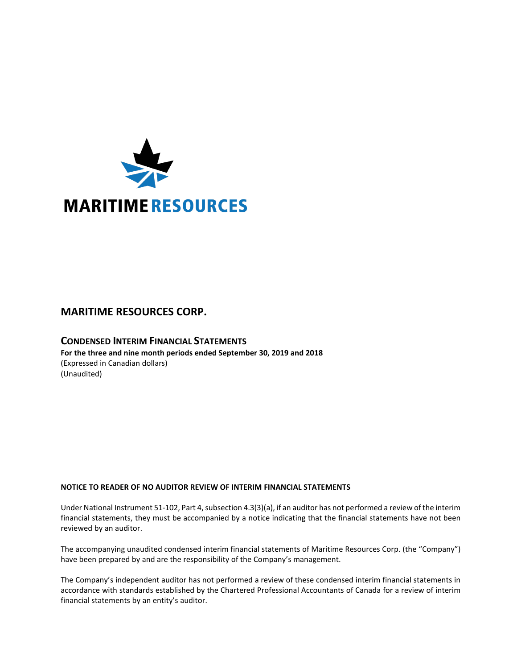

# **MARITIME RESOURCES CORP.**

# **CONDENSED INTERIM FINANCIAL STATEMENTS For the three and nine month periods ended September 30, 2019 and 2018** (Expressed in Canadian dollars) (Unaudited)

# **NOTICE TO READER OF NO AUDITOR REVIEW OF INTERIM FINANCIAL STATEMENTS**

Under National Instrument 51-102, Part 4, subsection 4.3(3)(a), if an auditor has not performed a review of the interim financial statements, they must be accompanied by a notice indicating that the financial statements have not been reviewed by an auditor.

The accompanying unaudited condensed interim financial statements of Maritime Resources Corp. (the "Company") have been prepared by and are the responsibility of the Company's management.

The Company's independent auditor has not performed a review of these condensed interim financial statements in accordance with standards established by the Chartered Professional Accountants of Canada for a review of interim financial statements by an entity's auditor.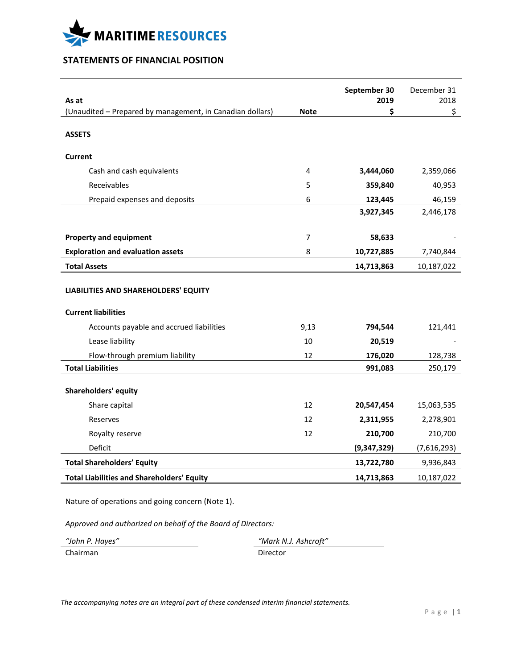

# **STATEMENTS OF FINANCIAL POSITION**

| As at                                                              |                | September 30<br>2019 | December 31<br>2018 |
|--------------------------------------------------------------------|----------------|----------------------|---------------------|
| (Unaudited - Prepared by management, in Canadian dollars)          | <b>Note</b>    | \$                   | \$                  |
| <b>ASSETS</b>                                                      |                |                      |                     |
| <b>Current</b>                                                     |                |                      |                     |
| Cash and cash equivalents                                          | 4              | 3,444,060            | 2,359,066           |
| Receivables                                                        | 5              | 359,840              | 40,953              |
| Prepaid expenses and deposits                                      | 6              | 123,445              | 46,159              |
|                                                                    |                | 3,927,345            | 2,446,178           |
| <b>Property and equipment</b>                                      | $\overline{7}$ | 58,633               |                     |
| <b>Exploration and evaluation assets</b>                           | 8              | 10,727,885           | 7,740,844           |
| <b>Total Assets</b>                                                |                | 14,713,863           | 10,187,022          |
| LIABILITIES AND SHAREHOLDERS' EQUITY<br><b>Current liabilities</b> |                |                      |                     |
| Accounts payable and accrued liabilities                           | 9,13           | 794,544              | 121,441             |
| Lease liability                                                    | 10             | 20,519               |                     |
| Flow-through premium liability                                     | 12             | 176,020              | 128,738             |
| <b>Total Liabilities</b>                                           |                | 991,083              | 250,179             |
| <b>Shareholders' equity</b>                                        |                |                      |                     |
| Share capital                                                      | 12             | 20,547,454           | 15,063,535          |
| Reserves                                                           | 12             | 2,311,955            | 2,278,901           |
| Royalty reserve                                                    | 12             | 210,700              | 210,700             |
| Deficit                                                            |                | (9,347,329)          | (7,616,293)         |
| <b>Total Shareholders' Equity</b>                                  |                | 13,722,780           | 9,936,843           |
| <b>Total Liabilities and Shareholders' Equity</b>                  |                | 14,713,863           | 10,187,022          |

Nature of operations and going concern (Note 1).

*Approved and authorized on behalf of the Board of Directors:*

Chairman Director

*"John P. Hayes" "Mark N.J. Ashcroft"*

*The accompanying notes are an integral part of these condensed interim financial statements.*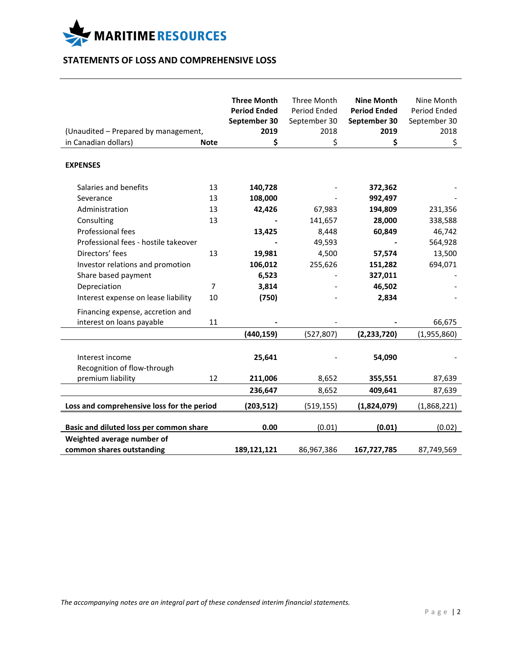

# **STATEMENTS OF LOSS AND COMPREHENSIVE LOSS**

|                                                |                | <b>Three Month</b><br><b>Period Ended</b> | Three Month<br>Period Ended | <b>Nine Month</b><br><b>Period Ended</b> | Nine Month<br>Period Ended |
|------------------------------------------------|----------------|-------------------------------------------|-----------------------------|------------------------------------------|----------------------------|
|                                                |                | September 30                              | September 30                | September 30                             | September 30               |
| (Unaudited - Prepared by management,           |                | 2019                                      | 2018                        | 2019                                     | 2018                       |
| in Canadian dollars)                           | <b>Note</b>    | \$                                        | \$                          | \$                                       | \$                         |
|                                                |                |                                           |                             |                                          |                            |
| <b>EXPENSES</b>                                |                |                                           |                             |                                          |                            |
| Salaries and benefits                          | 13             | 140,728                                   |                             | 372,362                                  |                            |
| Severance                                      | 13             | 108,000                                   |                             | 992,497                                  |                            |
| Administration                                 | 13             | 42,426                                    | 67,983                      | 194,809                                  | 231,356                    |
| Consulting                                     | 13             |                                           | 141,657                     | 28,000                                   | 338,588                    |
| Professional fees                              |                | 13,425                                    | 8,448                       | 60,849                                   | 46,742                     |
| Professional fees - hostile takeover           |                |                                           | 49,593                      |                                          | 564,928                    |
| Directors' fees                                | 13             | 19,981                                    | 4,500                       | 57,574                                   | 13,500                     |
| Investor relations and promotion               |                | 106,012                                   | 255,626                     | 151,282                                  | 694,071                    |
| Share based payment                            |                | 6,523                                     |                             | 327,011                                  |                            |
| Depreciation                                   | $\overline{7}$ | 3,814                                     |                             | 46,502                                   |                            |
| Interest expense on lease liability            | 10             | (750)                                     |                             | 2,834                                    |                            |
| Financing expense, accretion and               |                |                                           |                             |                                          |                            |
| interest on loans payable                      | 11             |                                           |                             |                                          | 66,675                     |
|                                                |                | (440, 159)                                | (527, 807)                  | (2, 233, 720)                            | (1,955,860)                |
| Interest income<br>Recognition of flow-through |                | 25,641                                    |                             | 54,090                                   |                            |
| premium liability                              | 12             | 211,006                                   | 8,652                       | 355,551                                  | 87,639                     |
|                                                |                | 236,647                                   | 8,652                       | 409,641                                  | 87,639                     |
| Loss and comprehensive loss for the period     |                | (203, 512)                                | (519, 155)                  | (1,824,079)                              | (1,868,221)                |
| Basic and diluted loss per common share        |                | 0.00                                      | (0.01)                      | (0.01)                                   | (0.02)                     |
| Weighted average number of                     |                |                                           |                             |                                          |                            |
| common shares outstanding                      |                | 189,121,121                               | 86,967,386                  | 167,727,785                              | 87,749,569                 |

*The accompanying notes are an integral part of these condensed interim financial statements.*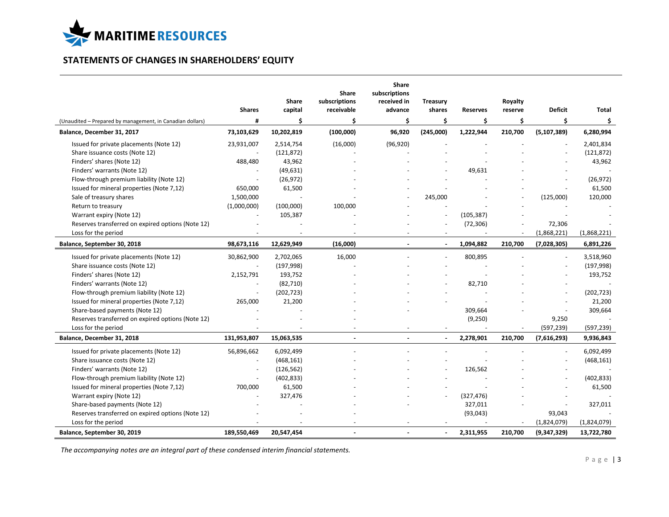

# **STATEMENTS OF CHANGES IN SHAREHOLDERS' EQUITY**

|                                                           | <b>Shares</b> | Share<br>capital | <b>Share</b><br>subscriptions<br>receivable | Share<br>subscriptions<br>received in<br>advance | <b>Treasury</b><br>shares | <b>Reserves</b> | Royalty<br>reserve | <b>Deficit</b> | Total       |
|-----------------------------------------------------------|---------------|------------------|---------------------------------------------|--------------------------------------------------|---------------------------|-----------------|--------------------|----------------|-------------|
| (Unaudited - Prepared by management, in Canadian dollars) | #             | \$.              | \$                                          | \$                                               | \$                        | \$              | \$                 | \$             | \$          |
| Balance, December 31, 2017                                | 73,103,629    | 10,202,819       | (100,000)                                   | 96,920                                           | (245,000)                 | 1,222,944       | 210,700            | (5, 107, 389)  | 6,280,994   |
| Issued for private placements (Note 12)                   | 23,931,007    | 2,514,754        | (16,000)                                    | (96, 920)                                        |                           |                 |                    |                | 2,401,834   |
| Share issuance costs (Note 12)                            |               | (121, 872)       |                                             |                                                  |                           |                 |                    |                | (121, 872)  |
| Finders' shares (Note 12)                                 | 488,480       | 43,962           |                                             |                                                  |                           |                 |                    |                | 43,962      |
| Finders' warrants (Note 12)                               |               | (49, 631)        |                                             |                                                  |                           | 49,631          |                    |                |             |
| Flow-through premium liability (Note 12)                  |               | (26, 972)        |                                             |                                                  |                           |                 |                    |                | (26, 972)   |
| Issued for mineral properties (Note 7,12)                 | 650,000       | 61,500           |                                             |                                                  |                           |                 |                    |                | 61,500      |
| Sale of treasury shares                                   | 1,500,000     |                  |                                             |                                                  | 245,000                   |                 |                    | (125,000)      | 120,000     |
| Return to treasury                                        | (1,000,000)   | (100,000)        | 100,000                                     |                                                  |                           |                 |                    |                |             |
| Warrant expiry (Note 12)                                  |               | 105,387          |                                             |                                                  |                           | (105, 387)      |                    |                |             |
| Reserves transferred on expired options (Note 12)         |               |                  |                                             |                                                  |                           | (72, 306)       |                    | 72,306         |             |
| Loss for the period                                       |               |                  |                                             |                                                  |                           |                 | $\sim$             | (1,868,221)    | (1,868,221) |
| Balance, September 30, 2018                               | 98,673,116    | 12,629,949       | (16,000)                                    |                                                  | $\sim$                    | 1,094,882       | 210,700            | (7,028,305)    | 6,891,226   |
| Issued for private placements (Note 12)                   | 30,862,900    | 2,702,065        | 16,000                                      |                                                  |                           | 800,895         |                    | $\blacksquare$ | 3,518,960   |
| Share issuance costs (Note 12)                            |               | (197, 998)       |                                             |                                                  |                           |                 |                    |                | (197, 998)  |
| Finders' shares (Note 12)                                 | 2,152,791     | 193,752          |                                             |                                                  |                           |                 |                    |                | 193,752     |
| Finders' warrants (Note 12)                               |               | (82, 710)        |                                             |                                                  |                           | 82,710          |                    |                |             |
| Flow-through premium liability (Note 12)                  |               | (202, 723)       |                                             |                                                  |                           |                 |                    |                | (202, 723)  |
| Issued for mineral properties (Note 7,12)                 | 265,000       | 21,200           |                                             |                                                  |                           |                 |                    |                | 21,200      |
| Share-based payments (Note 12)                            |               |                  |                                             |                                                  |                           | 309,664         |                    |                | 309,664     |
| Reserves transferred on expired options (Note 12)         |               |                  |                                             |                                                  |                           | (9,250)         |                    | 9,250          |             |
| Loss for the period                                       |               |                  |                                             |                                                  |                           |                 | $\blacksquare$     | (597, 239)     | (597, 239)  |
| Balance, December 31, 2018                                | 131,953,807   | 15,063,535       |                                             |                                                  |                           | 2,278,901       | 210,700            | (7,616,293)    | 9,936,843   |
| Issued for private placements (Note 12)                   | 56,896,662    | 6,092,499        |                                             |                                                  |                           |                 |                    |                | 6,092,499   |
| Share issuance costs (Note 12)                            |               | (468, 161)       |                                             |                                                  |                           |                 |                    |                | (468, 161)  |
| Finders' warrants (Note 12)                               |               | (126, 562)       |                                             |                                                  |                           | 126,562         |                    |                |             |
| Flow-through premium liability (Note 12)                  |               | (402, 833)       |                                             |                                                  |                           |                 |                    |                | (402, 833)  |
| Issued for mineral properties (Note 7,12)                 | 700,000       | 61,500           |                                             |                                                  |                           |                 |                    |                | 61,500      |
| Warrant expiry (Note 12)                                  |               | 327,476          |                                             |                                                  |                           | (327, 476)      |                    |                |             |
| Share-based payments (Note 12)                            |               |                  |                                             |                                                  |                           | 327,011         |                    |                | 327,011     |
| Reserves transferred on expired options (Note 12)         |               |                  |                                             |                                                  |                           | (93, 043)       |                    | 93,043         |             |
| Loss for the period                                       |               |                  |                                             |                                                  |                           |                 |                    | (1,824,079)    | (1,824,079) |
| Balance, September 30, 2019                               | 189,550,469   | 20,547,454       |                                             |                                                  | $\blacksquare$            | 2,311,955       | 210,700            | (9,347,329)    | 13,722,780  |

*The accompanying notes are an integral part of these condensed interim financial statements.*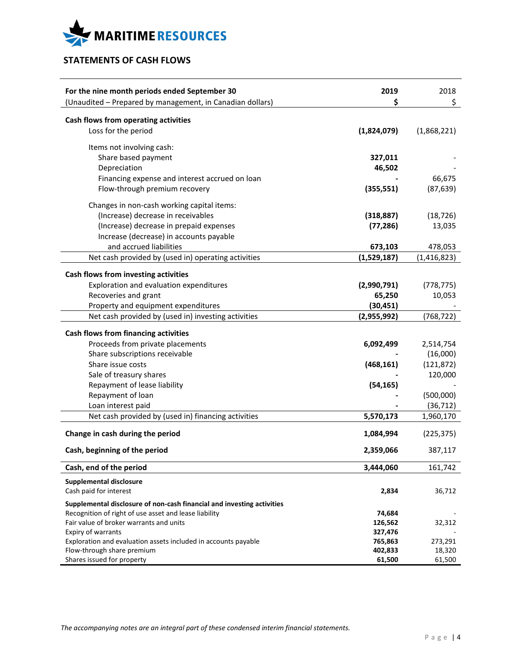

# **STATEMENTS OF CASH FLOWS**

| \$<br>\$<br>(Unaudited - Prepared by management, in Canadian dollars)<br>Cash flows from operating activities<br>Loss for the period<br>(1,824,079)<br>(1,868,221)<br>Items not involving cash:<br>Share based payment<br>327,011<br>Depreciation<br>46,502<br>Financing expense and interest accrued on loan<br>66,675<br>Flow-through premium recovery<br>(355, 551)<br>(87, 639)<br>Changes in non-cash working capital items:<br>(Increase) decrease in receivables<br>(318, 887)<br>(18, 726)<br>(Increase) decrease in prepaid expenses<br>(77, 286)<br>13,035<br>Increase (decrease) in accounts payable<br>and accrued liabilities<br>673,103<br>478,053<br>Net cash provided by (used in) operating activities<br>(1,529,187)<br>(1, 416, 823)<br>Cash flows from investing activities<br>Exploration and evaluation expenditures<br>(2,990,791)<br>(778, 775)<br>Recoveries and grant<br>65,250<br>10,053<br>Property and equipment expenditures<br>(30, 451)<br>Net cash provided by (used in) investing activities<br>(2,955,992)<br>(768, 722)<br><b>Cash flows from financing activities</b><br>Proceeds from private placements<br>6,092,499<br>2,514,754<br>Share subscriptions receivable<br>(16,000)<br>Share issue costs<br>(468, 161)<br>(121, 872)<br>Sale of treasury shares<br>120,000<br>Repayment of lease liability<br>(54, 165)<br>Repayment of loan<br>(500,000)<br>(36, 712)<br>Loan interest paid<br>Net cash provided by (used in) financing activities<br>5,570,173<br>1,960,170<br>Change in cash during the period<br>1,084,994<br>(225, 375)<br>Cash, beginning of the period<br>2,359,066<br>387,117<br>Cash, end of the period<br>3,444,060<br>161,742<br><b>Supplemental disclosure</b><br>Cash paid for interest<br>2,834<br>36,712<br>Supplemental disclosure of non-cash financial and investing activities<br>Recognition of right of use asset and lease liability<br>74,684<br>Fair value of broker warrants and units<br>126,562<br>32,312<br>327,476<br>Expiry of warrants<br>Exploration and evaluation assets included in accounts payable<br>765,863<br>273,291<br>Flow-through share premium<br>402,833<br>18,320 | For the nine month periods ended September 30 | 2019   | 2018   |
|---------------------------------------------------------------------------------------------------------------------------------------------------------------------------------------------------------------------------------------------------------------------------------------------------------------------------------------------------------------------------------------------------------------------------------------------------------------------------------------------------------------------------------------------------------------------------------------------------------------------------------------------------------------------------------------------------------------------------------------------------------------------------------------------------------------------------------------------------------------------------------------------------------------------------------------------------------------------------------------------------------------------------------------------------------------------------------------------------------------------------------------------------------------------------------------------------------------------------------------------------------------------------------------------------------------------------------------------------------------------------------------------------------------------------------------------------------------------------------------------------------------------------------------------------------------------------------------------------------------------------------------------------------------------------------------------------------------------------------------------------------------------------------------------------------------------------------------------------------------------------------------------------------------------------------------------------------------------------------------------------------------------------------------------------------------------------------------------------------------------------------------------------------------------|-----------------------------------------------|--------|--------|
|                                                                                                                                                                                                                                                                                                                                                                                                                                                                                                                                                                                                                                                                                                                                                                                                                                                                                                                                                                                                                                                                                                                                                                                                                                                                                                                                                                                                                                                                                                                                                                                                                                                                                                                                                                                                                                                                                                                                                                                                                                                                                                                                                                     |                                               |        |        |
|                                                                                                                                                                                                                                                                                                                                                                                                                                                                                                                                                                                                                                                                                                                                                                                                                                                                                                                                                                                                                                                                                                                                                                                                                                                                                                                                                                                                                                                                                                                                                                                                                                                                                                                                                                                                                                                                                                                                                                                                                                                                                                                                                                     |                                               |        |        |
|                                                                                                                                                                                                                                                                                                                                                                                                                                                                                                                                                                                                                                                                                                                                                                                                                                                                                                                                                                                                                                                                                                                                                                                                                                                                                                                                                                                                                                                                                                                                                                                                                                                                                                                                                                                                                                                                                                                                                                                                                                                                                                                                                                     |                                               |        |        |
|                                                                                                                                                                                                                                                                                                                                                                                                                                                                                                                                                                                                                                                                                                                                                                                                                                                                                                                                                                                                                                                                                                                                                                                                                                                                                                                                                                                                                                                                                                                                                                                                                                                                                                                                                                                                                                                                                                                                                                                                                                                                                                                                                                     |                                               |        |        |
|                                                                                                                                                                                                                                                                                                                                                                                                                                                                                                                                                                                                                                                                                                                                                                                                                                                                                                                                                                                                                                                                                                                                                                                                                                                                                                                                                                                                                                                                                                                                                                                                                                                                                                                                                                                                                                                                                                                                                                                                                                                                                                                                                                     |                                               |        |        |
|                                                                                                                                                                                                                                                                                                                                                                                                                                                                                                                                                                                                                                                                                                                                                                                                                                                                                                                                                                                                                                                                                                                                                                                                                                                                                                                                                                                                                                                                                                                                                                                                                                                                                                                                                                                                                                                                                                                                                                                                                                                                                                                                                                     |                                               |        |        |
|                                                                                                                                                                                                                                                                                                                                                                                                                                                                                                                                                                                                                                                                                                                                                                                                                                                                                                                                                                                                                                                                                                                                                                                                                                                                                                                                                                                                                                                                                                                                                                                                                                                                                                                                                                                                                                                                                                                                                                                                                                                                                                                                                                     |                                               |        |        |
|                                                                                                                                                                                                                                                                                                                                                                                                                                                                                                                                                                                                                                                                                                                                                                                                                                                                                                                                                                                                                                                                                                                                                                                                                                                                                                                                                                                                                                                                                                                                                                                                                                                                                                                                                                                                                                                                                                                                                                                                                                                                                                                                                                     |                                               |        |        |
|                                                                                                                                                                                                                                                                                                                                                                                                                                                                                                                                                                                                                                                                                                                                                                                                                                                                                                                                                                                                                                                                                                                                                                                                                                                                                                                                                                                                                                                                                                                                                                                                                                                                                                                                                                                                                                                                                                                                                                                                                                                                                                                                                                     |                                               |        |        |
|                                                                                                                                                                                                                                                                                                                                                                                                                                                                                                                                                                                                                                                                                                                                                                                                                                                                                                                                                                                                                                                                                                                                                                                                                                                                                                                                                                                                                                                                                                                                                                                                                                                                                                                                                                                                                                                                                                                                                                                                                                                                                                                                                                     |                                               |        |        |
|                                                                                                                                                                                                                                                                                                                                                                                                                                                                                                                                                                                                                                                                                                                                                                                                                                                                                                                                                                                                                                                                                                                                                                                                                                                                                                                                                                                                                                                                                                                                                                                                                                                                                                                                                                                                                                                                                                                                                                                                                                                                                                                                                                     |                                               |        |        |
|                                                                                                                                                                                                                                                                                                                                                                                                                                                                                                                                                                                                                                                                                                                                                                                                                                                                                                                                                                                                                                                                                                                                                                                                                                                                                                                                                                                                                                                                                                                                                                                                                                                                                                                                                                                                                                                                                                                                                                                                                                                                                                                                                                     |                                               |        |        |
|                                                                                                                                                                                                                                                                                                                                                                                                                                                                                                                                                                                                                                                                                                                                                                                                                                                                                                                                                                                                                                                                                                                                                                                                                                                                                                                                                                                                                                                                                                                                                                                                                                                                                                                                                                                                                                                                                                                                                                                                                                                                                                                                                                     |                                               |        |        |
|                                                                                                                                                                                                                                                                                                                                                                                                                                                                                                                                                                                                                                                                                                                                                                                                                                                                                                                                                                                                                                                                                                                                                                                                                                                                                                                                                                                                                                                                                                                                                                                                                                                                                                                                                                                                                                                                                                                                                                                                                                                                                                                                                                     |                                               |        |        |
|                                                                                                                                                                                                                                                                                                                                                                                                                                                                                                                                                                                                                                                                                                                                                                                                                                                                                                                                                                                                                                                                                                                                                                                                                                                                                                                                                                                                                                                                                                                                                                                                                                                                                                                                                                                                                                                                                                                                                                                                                                                                                                                                                                     |                                               |        |        |
|                                                                                                                                                                                                                                                                                                                                                                                                                                                                                                                                                                                                                                                                                                                                                                                                                                                                                                                                                                                                                                                                                                                                                                                                                                                                                                                                                                                                                                                                                                                                                                                                                                                                                                                                                                                                                                                                                                                                                                                                                                                                                                                                                                     |                                               |        |        |
|                                                                                                                                                                                                                                                                                                                                                                                                                                                                                                                                                                                                                                                                                                                                                                                                                                                                                                                                                                                                                                                                                                                                                                                                                                                                                                                                                                                                                                                                                                                                                                                                                                                                                                                                                                                                                                                                                                                                                                                                                                                                                                                                                                     |                                               |        |        |
|                                                                                                                                                                                                                                                                                                                                                                                                                                                                                                                                                                                                                                                                                                                                                                                                                                                                                                                                                                                                                                                                                                                                                                                                                                                                                                                                                                                                                                                                                                                                                                                                                                                                                                                                                                                                                                                                                                                                                                                                                                                                                                                                                                     |                                               |        |        |
|                                                                                                                                                                                                                                                                                                                                                                                                                                                                                                                                                                                                                                                                                                                                                                                                                                                                                                                                                                                                                                                                                                                                                                                                                                                                                                                                                                                                                                                                                                                                                                                                                                                                                                                                                                                                                                                                                                                                                                                                                                                                                                                                                                     |                                               |        |        |
|                                                                                                                                                                                                                                                                                                                                                                                                                                                                                                                                                                                                                                                                                                                                                                                                                                                                                                                                                                                                                                                                                                                                                                                                                                                                                                                                                                                                                                                                                                                                                                                                                                                                                                                                                                                                                                                                                                                                                                                                                                                                                                                                                                     |                                               |        |        |
|                                                                                                                                                                                                                                                                                                                                                                                                                                                                                                                                                                                                                                                                                                                                                                                                                                                                                                                                                                                                                                                                                                                                                                                                                                                                                                                                                                                                                                                                                                                                                                                                                                                                                                                                                                                                                                                                                                                                                                                                                                                                                                                                                                     |                                               |        |        |
|                                                                                                                                                                                                                                                                                                                                                                                                                                                                                                                                                                                                                                                                                                                                                                                                                                                                                                                                                                                                                                                                                                                                                                                                                                                                                                                                                                                                                                                                                                                                                                                                                                                                                                                                                                                                                                                                                                                                                                                                                                                                                                                                                                     |                                               |        |        |
|                                                                                                                                                                                                                                                                                                                                                                                                                                                                                                                                                                                                                                                                                                                                                                                                                                                                                                                                                                                                                                                                                                                                                                                                                                                                                                                                                                                                                                                                                                                                                                                                                                                                                                                                                                                                                                                                                                                                                                                                                                                                                                                                                                     |                                               |        |        |
|                                                                                                                                                                                                                                                                                                                                                                                                                                                                                                                                                                                                                                                                                                                                                                                                                                                                                                                                                                                                                                                                                                                                                                                                                                                                                                                                                                                                                                                                                                                                                                                                                                                                                                                                                                                                                                                                                                                                                                                                                                                                                                                                                                     |                                               |        |        |
|                                                                                                                                                                                                                                                                                                                                                                                                                                                                                                                                                                                                                                                                                                                                                                                                                                                                                                                                                                                                                                                                                                                                                                                                                                                                                                                                                                                                                                                                                                                                                                                                                                                                                                                                                                                                                                                                                                                                                                                                                                                                                                                                                                     |                                               |        |        |
|                                                                                                                                                                                                                                                                                                                                                                                                                                                                                                                                                                                                                                                                                                                                                                                                                                                                                                                                                                                                                                                                                                                                                                                                                                                                                                                                                                                                                                                                                                                                                                                                                                                                                                                                                                                                                                                                                                                                                                                                                                                                                                                                                                     |                                               |        |        |
|                                                                                                                                                                                                                                                                                                                                                                                                                                                                                                                                                                                                                                                                                                                                                                                                                                                                                                                                                                                                                                                                                                                                                                                                                                                                                                                                                                                                                                                                                                                                                                                                                                                                                                                                                                                                                                                                                                                                                                                                                                                                                                                                                                     |                                               |        |        |
|                                                                                                                                                                                                                                                                                                                                                                                                                                                                                                                                                                                                                                                                                                                                                                                                                                                                                                                                                                                                                                                                                                                                                                                                                                                                                                                                                                                                                                                                                                                                                                                                                                                                                                                                                                                                                                                                                                                                                                                                                                                                                                                                                                     |                                               |        |        |
|                                                                                                                                                                                                                                                                                                                                                                                                                                                                                                                                                                                                                                                                                                                                                                                                                                                                                                                                                                                                                                                                                                                                                                                                                                                                                                                                                                                                                                                                                                                                                                                                                                                                                                                                                                                                                                                                                                                                                                                                                                                                                                                                                                     |                                               |        |        |
|                                                                                                                                                                                                                                                                                                                                                                                                                                                                                                                                                                                                                                                                                                                                                                                                                                                                                                                                                                                                                                                                                                                                                                                                                                                                                                                                                                                                                                                                                                                                                                                                                                                                                                                                                                                                                                                                                                                                                                                                                                                                                                                                                                     |                                               |        |        |
|                                                                                                                                                                                                                                                                                                                                                                                                                                                                                                                                                                                                                                                                                                                                                                                                                                                                                                                                                                                                                                                                                                                                                                                                                                                                                                                                                                                                                                                                                                                                                                                                                                                                                                                                                                                                                                                                                                                                                                                                                                                                                                                                                                     |                                               |        |        |
|                                                                                                                                                                                                                                                                                                                                                                                                                                                                                                                                                                                                                                                                                                                                                                                                                                                                                                                                                                                                                                                                                                                                                                                                                                                                                                                                                                                                                                                                                                                                                                                                                                                                                                                                                                                                                                                                                                                                                                                                                                                                                                                                                                     |                                               |        |        |
|                                                                                                                                                                                                                                                                                                                                                                                                                                                                                                                                                                                                                                                                                                                                                                                                                                                                                                                                                                                                                                                                                                                                                                                                                                                                                                                                                                                                                                                                                                                                                                                                                                                                                                                                                                                                                                                                                                                                                                                                                                                                                                                                                                     |                                               |        |        |
|                                                                                                                                                                                                                                                                                                                                                                                                                                                                                                                                                                                                                                                                                                                                                                                                                                                                                                                                                                                                                                                                                                                                                                                                                                                                                                                                                                                                                                                                                                                                                                                                                                                                                                                                                                                                                                                                                                                                                                                                                                                                                                                                                                     |                                               |        |        |
|                                                                                                                                                                                                                                                                                                                                                                                                                                                                                                                                                                                                                                                                                                                                                                                                                                                                                                                                                                                                                                                                                                                                                                                                                                                                                                                                                                                                                                                                                                                                                                                                                                                                                                                                                                                                                                                                                                                                                                                                                                                                                                                                                                     |                                               |        |        |
|                                                                                                                                                                                                                                                                                                                                                                                                                                                                                                                                                                                                                                                                                                                                                                                                                                                                                                                                                                                                                                                                                                                                                                                                                                                                                                                                                                                                                                                                                                                                                                                                                                                                                                                                                                                                                                                                                                                                                                                                                                                                                                                                                                     |                                               |        |        |
|                                                                                                                                                                                                                                                                                                                                                                                                                                                                                                                                                                                                                                                                                                                                                                                                                                                                                                                                                                                                                                                                                                                                                                                                                                                                                                                                                                                                                                                                                                                                                                                                                                                                                                                                                                                                                                                                                                                                                                                                                                                                                                                                                                     |                                               |        |        |
|                                                                                                                                                                                                                                                                                                                                                                                                                                                                                                                                                                                                                                                                                                                                                                                                                                                                                                                                                                                                                                                                                                                                                                                                                                                                                                                                                                                                                                                                                                                                                                                                                                                                                                                                                                                                                                                                                                                                                                                                                                                                                                                                                                     |                                               |        |        |
|                                                                                                                                                                                                                                                                                                                                                                                                                                                                                                                                                                                                                                                                                                                                                                                                                                                                                                                                                                                                                                                                                                                                                                                                                                                                                                                                                                                                                                                                                                                                                                                                                                                                                                                                                                                                                                                                                                                                                                                                                                                                                                                                                                     |                                               |        |        |
|                                                                                                                                                                                                                                                                                                                                                                                                                                                                                                                                                                                                                                                                                                                                                                                                                                                                                                                                                                                                                                                                                                                                                                                                                                                                                                                                                                                                                                                                                                                                                                                                                                                                                                                                                                                                                                                                                                                                                                                                                                                                                                                                                                     | Shares issued for property                    | 61,500 | 61,500 |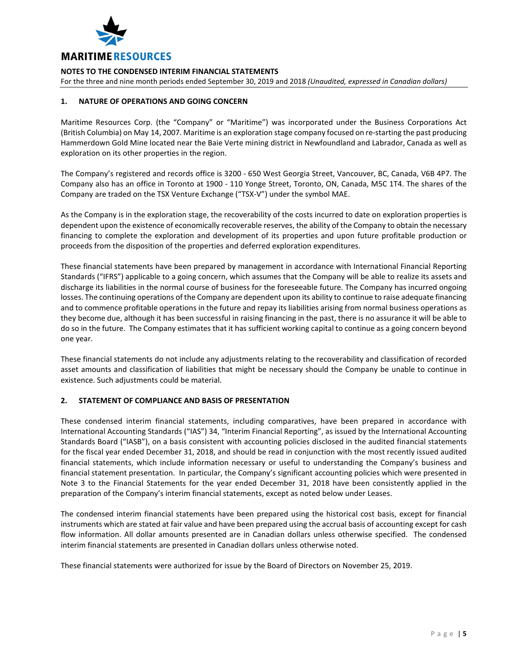

For the three and nine month periods ended September 30, 2019 and 2018 *(Unaudited, expressed in Canadian dollars)*

# **1. NATURE OF OPERATIONS AND GOING CONCERN**

Maritime Resources Corp. (the "Company" or "Maritime") was incorporated under the Business Corporations Act (British Columbia) on May 14, 2007. Maritime is an exploration stage company focused on re-starting the past producing Hammerdown Gold Mine located near the Baie Verte mining district in Newfoundland and Labrador, Canada as well as exploration on its other properties in the region.

The Company's registered and records office is 3200 - 650 West Georgia Street, Vancouver, BC, Canada, V6B 4P7. The Company also has an office in Toronto at 1900 - 110 Yonge Street, Toronto, ON, Canada, M5C 1T4. The shares of the Company are traded on the TSX Venture Exchange ("TSX-V") under the symbol MAE.

As the Company is in the exploration stage, the recoverability of the costs incurred to date on exploration properties is dependent upon the existence of economically recoverable reserves, the ability of the Company to obtain the necessary financing to complete the exploration and development of its properties and upon future profitable production or proceeds from the disposition of the properties and deferred exploration expenditures.

These financial statements have been prepared by management in accordance with International Financial Reporting Standards ("IFRS") applicable to a going concern, which assumes that the Company will be able to realize its assets and discharge its liabilities in the normal course of business for the foreseeable future. The Company has incurred ongoing losses. The continuing operations of the Company are dependent upon its ability to continue to raise adequate financing and to commence profitable operations in the future and repay its liabilities arising from normal business operations as they become due, although it has been successful in raising financing in the past, there is no assurance it will be able to do so in the future. The Company estimates that it has sufficient working capital to continue as a going concern beyond one year.

These financial statements do not include any adjustments relating to the recoverability and classification of recorded asset amounts and classification of liabilities that might be necessary should the Company be unable to continue in existence. Such adjustments could be material.

# **2. STATEMENT OF COMPLIANCE AND BASIS OF PRESENTATION**

These condensed interim financial statements, including comparatives, have been prepared in accordance with International Accounting Standards ("IAS") 34, "Interim Financial Reporting", as issued by the International Accounting Standards Board ("IASB"), on a basis consistent with accounting policies disclosed in the audited financial statements for the fiscal year ended December 31, 2018, and should be read in conjunction with the most recently issued audited financial statements, which include information necessary or useful to understanding the Company's business and financial statement presentation. In particular, the Company's significant accounting policies which were presented in Note 3 to the Financial Statements for the year ended December 31, 2018 have been consistently applied in the preparation of the Company's interim financial statements, except as noted below under Leases.

The condensed interim financial statements have been prepared using the historical cost basis, except for financial instruments which are stated at fair value and have been prepared using the accrual basis of accounting except for cash flow information. All dollar amounts presented are in Canadian dollars unless otherwise specified. The condensed interim financial statements are presented in Canadian dollars unless otherwise noted.

These financial statements were authorized for issue by the Board of Directors on November 25, 2019.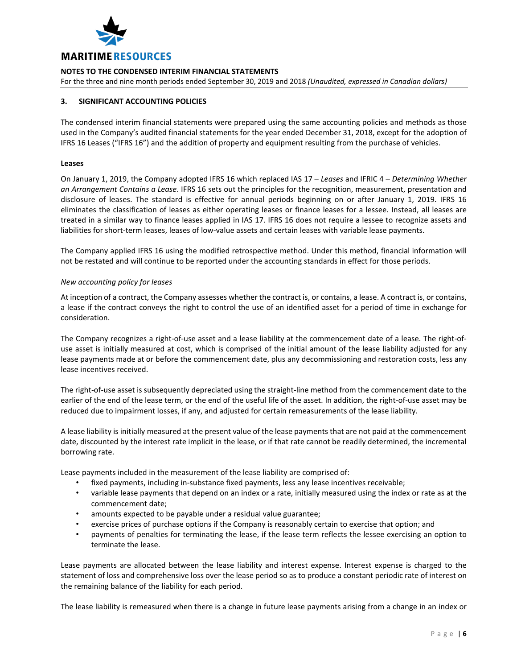

For the three and nine month periods ended September 30, 2019 and 2018 *(Unaudited, expressed in Canadian dollars)*

# **3. SIGNIFICANT ACCOUNTING POLICIES**

The condensed interim financial statements were prepared using the same accounting policies and methods as those used in the Company's audited financial statements for the year ended December 31, 2018, except for the adoption of IFRS 16 Leases ("IFRS 16") and the addition of property and equipment resulting from the purchase of vehicles.

# **Leases**

On January 1, 2019, the Company adopted IFRS 16 which replaced IAS 17 – *Leases* and IFRIC 4 – *Determining Whether an Arrangement Contains a Lease*. IFRS 16 sets out the principles for the recognition, measurement, presentation and disclosure of leases. The standard is effective for annual periods beginning on or after January 1, 2019. IFRS 16 eliminates the classification of leases as either operating leases or finance leases for a lessee. Instead, all leases are treated in a similar way to finance leases applied in IAS 17. IFRS 16 does not require a lessee to recognize assets and liabilities for short-term leases, leases of low-value assets and certain leases with variable lease payments.

The Company applied IFRS 16 using the modified retrospective method. Under this method, financial information will not be restated and will continue to be reported under the accounting standards in effect for those periods.

# *New accounting policy for leases*

At inception of a contract, the Company assesses whether the contract is, or contains, a lease. A contract is, or contains, a lease if the contract conveys the right to control the use of an identified asset for a period of time in exchange for consideration.

The Company recognizes a right-of-use asset and a lease liability at the commencement date of a lease. The right-ofuse asset is initially measured at cost, which is comprised of the initial amount of the lease liability adjusted for any lease payments made at or before the commencement date, plus any decommissioning and restoration costs, less any lease incentives received.

The right-of-use asset is subsequently depreciated using the straight-line method from the commencement date to the earlier of the end of the lease term, or the end of the useful life of the asset. In addition, the right-of-use asset may be reduced due to impairment losses, if any, and adjusted for certain remeasurements of the lease liability.

A lease liability is initially measured at the present value of the lease payments that are not paid at the commencement date, discounted by the interest rate implicit in the lease, or if that rate cannot be readily determined, the incremental borrowing rate.

Lease payments included in the measurement of the lease liability are comprised of:

- fixed payments, including in-substance fixed payments, less any lease incentives receivable;
- variable lease payments that depend on an index or a rate, initially measured using the index or rate as at the commencement date;
- amounts expected to be payable under a residual value guarantee;
- exercise prices of purchase options if the Company is reasonably certain to exercise that option; and
- payments of penalties for terminating the lease, if the lease term reflects the lessee exercising an option to terminate the lease.

Lease payments are allocated between the lease liability and interest expense. Interest expense is charged to the statement of loss and comprehensive loss over the lease period so as to produce a constant periodic rate of interest on the remaining balance of the liability for each period.

The lease liability is remeasured when there is a change in future lease payments arising from a change in an index or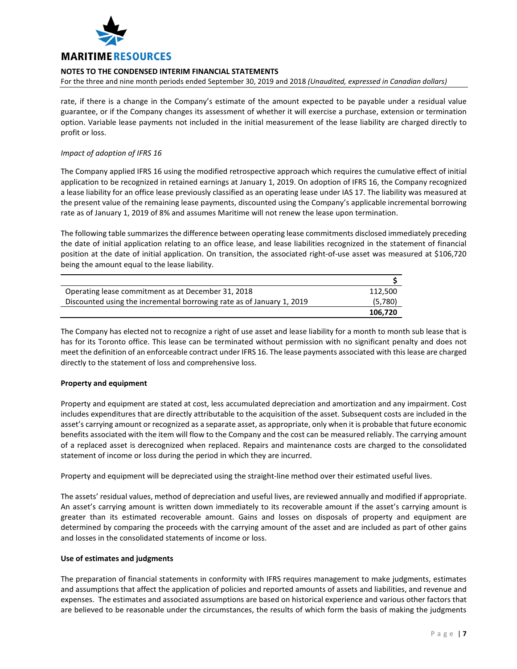

For the three and nine month periods ended September 30, 2019 and 2018 *(Unaudited, expressed in Canadian dollars)*

rate, if there is a change in the Company's estimate of the amount expected to be payable under a residual value guarantee, or if the Company changes its assessment of whether it will exercise a purchase, extension or termination option. Variable lease payments not included in the initial measurement of the lease liability are charged directly to profit or loss.

# *Impact of adoption of IFRS 16*

The Company applied IFRS 16 using the modified retrospective approach which requires the cumulative effect of initial application to be recognized in retained earnings at January 1, 2019. On adoption of IFRS 16, the Company recognized a lease liability for an office lease previously classified as an operating lease under IAS 17. The liability was measured at the present value of the remaining lease payments, discounted using the Company's applicable incremental borrowing rate as of January 1, 2019 of 8% and assumes Maritime will not renew the lease upon termination.

The following table summarizes the difference between operating lease commitments disclosed immediately preceding the date of initial application relating to an office lease, and lease liabilities recognized in the statement of financial position at the date of initial application. On transition, the associated right-of-use asset was measured at \$106,720 being the amount equal to the lease liability.

| Operating lease commitment as at December 31, 2018                    | 112.500 |
|-----------------------------------------------------------------------|---------|
| Discounted using the incremental borrowing rate as of January 1, 2019 | (5,780) |
|                                                                       | 106.720 |

The Company has elected not to recognize a right of use asset and lease liability for a month to month sub lease that is has for its Toronto office. This lease can be terminated without permission with no significant penalty and does not meet the definition of an enforceable contract under IFRS 16. The lease payments associated with this lease are charged directly to the statement of loss and comprehensive loss.

# **Property and equipment**

Property and equipment are stated at cost, less accumulated depreciation and amortization and any impairment. Cost includes expenditures that are directly attributable to the acquisition of the asset. Subsequent costs are included in the asset's carrying amount or recognized as a separate asset, as appropriate, only when it is probable that future economic benefits associated with the item will flow to the Company and the cost can be measured reliably. The carrying amount of a replaced asset is derecognized when replaced. Repairs and maintenance costs are charged to the consolidated statement of income or loss during the period in which they are incurred.

Property and equipment will be depreciated using the straight-line method over their estimated useful lives.

The assets' residual values, method of depreciation and useful lives, are reviewed annually and modified if appropriate. An asset's carrying amount is written down immediately to its recoverable amount if the asset's carrying amount is greater than its estimated recoverable amount. Gains and losses on disposals of property and equipment are determined by comparing the proceeds with the carrying amount of the asset and are included as part of other gains and losses in the consolidated statements of income or loss.

# **Use of estimates and judgments**

The preparation of financial statements in conformity with IFRS requires management to make judgments, estimates and assumptions that affect the application of policies and reported amounts of assets and liabilities, and revenue and expenses. The estimates and associated assumptions are based on historical experience and various other factors that are believed to be reasonable under the circumstances, the results of which form the basis of making the judgments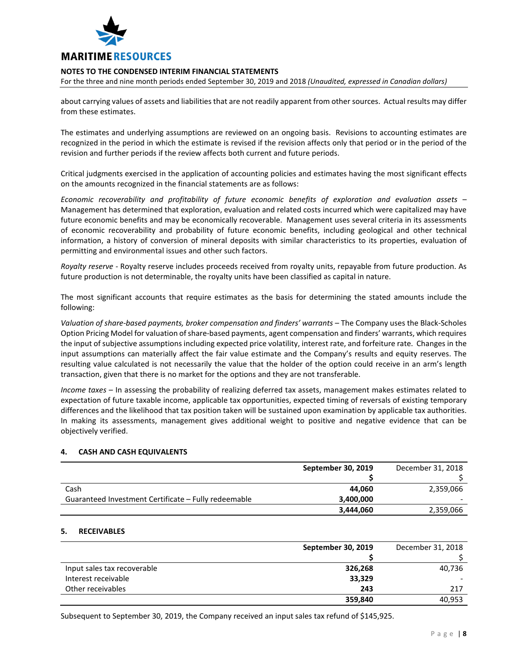

For the three and nine month periods ended September 30, 2019 and 2018 *(Unaudited, expressed in Canadian dollars)*

about carrying values of assets and liabilities that are not readily apparent from other sources. Actual results may differ from these estimates.

The estimates and underlying assumptions are reviewed on an ongoing basis. Revisions to accounting estimates are recognized in the period in which the estimate is revised if the revision affects only that period or in the period of the revision and further periods if the review affects both current and future periods.

Critical judgments exercised in the application of accounting policies and estimates having the most significant effects on the amounts recognized in the financial statements are as follows:

*Economic recoverability and profitability of future economic benefits of exploration and evaluation assets* – Management has determined that exploration, evaluation and related costs incurred which were capitalized may have future economic benefits and may be economically recoverable. Management uses several criteria in its assessments of economic recoverability and probability of future economic benefits, including geological and other technical information, a history of conversion of mineral deposits with similar characteristics to its properties, evaluation of permitting and environmental issues and other such factors.

*Royalty reserve* - Royalty reserve includes proceeds received from royalty units, repayable from future production. As future production is not determinable, the royalty units have been classified as capital in nature.

The most significant accounts that require estimates as the basis for determining the stated amounts include the following:

*Valuation of share-based payments, broker compensation and finders' warrants* – The Company uses the Black-Scholes Option Pricing Model for valuation of share-based payments, agent compensation and finders' warrants, which requires the input of subjective assumptions including expected price volatility, interest rate, and forfeiture rate. Changes in the input assumptions can materially affect the fair value estimate and the Company's results and equity reserves. The resulting value calculated is not necessarily the value that the holder of the option could receive in an arm's length transaction, given that there is no market for the options and they are not transferable.

*Income taxes* – In assessing the probability of realizing deferred tax assets, management makes estimates related to expectation of future taxable income, applicable tax opportunities, expected timing of reversals of existing temporary differences and the likelihood that tax position taken will be sustained upon examination by applicable tax authorities. In making its assessments, management gives additional weight to positive and negative evidence that can be objectively verified.

# **4. CASH AND CASH EQUIVALENTS**

|                                                      | September 30, 2019 | December 31, 2018 |
|------------------------------------------------------|--------------------|-------------------|
|                                                      |                    |                   |
| Cash                                                 | 44.060             | 2,359,066         |
| Guaranteed Investment Certificate – Fully redeemable | 3,400,000          |                   |
|                                                      | 3,444,060          | 2,359,066         |

# **5. RECEIVABLES**

|                             | September 30, 2019 | December 31, 2018 |
|-----------------------------|--------------------|-------------------|
|                             |                    |                   |
| Input sales tax recoverable | 326,268            | 40,736            |
| Interest receivable         | 33,329             |                   |
| Other receivables           | 243                | 217               |
|                             | 359,840            | 40.953            |

Subsequent to September 30, 2019, the Company received an input sales tax refund of \$145,925.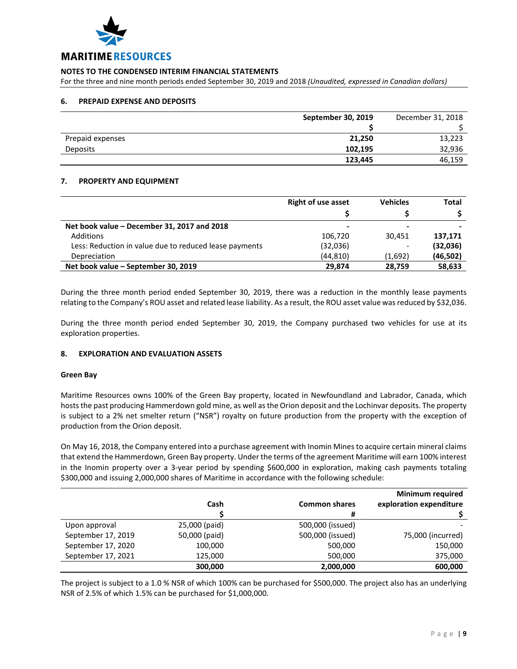

For the three and nine month periods ended September 30, 2019 and 2018 *(Unaudited, expressed in Canadian dollars)*

# **6. PREPAID EXPENSE AND DEPOSITS**

|                  | September 30, 2019 | December 31, 2018 |
|------------------|--------------------|-------------------|
|                  |                    |                   |
| Prepaid expenses | 21,250             | 13,223            |
| Deposits         | 102,195            | 32,936            |
|                  | 123,445            | 46,159            |

# **7. PROPERTY AND EQUIPMENT**

|                                                        | <b>Right of use asset</b> | <b>Vehicles</b>          | <b>Total</b> |
|--------------------------------------------------------|---------------------------|--------------------------|--------------|
|                                                        |                           |                          |              |
| Net book value – December 31, 2017 and 2018            | $\overline{\phantom{0}}$  |                          |              |
| Additions                                              | 106,720                   | 30,451                   | 137.171      |
| Less: Reduction in value due to reduced lease payments | (32,036)                  | $\overline{\phantom{0}}$ | (32,036)     |
| Depreciation                                           | (44, 810)                 | (1,692)                  | (46, 502)    |
| Net book value – September 30, 2019                    | 29.874                    | 28,759                   | 58,633       |

During the three month period ended September 30, 2019, there was a reduction in the monthly lease payments relating to the Company's ROU asset and related lease liability. As a result, the ROU asset value was reduced by \$32,036.

During the three month period ended September 30, 2019, the Company purchased two vehicles for use at its exploration properties.

# **8. EXPLORATION AND EVALUATION ASSETS**

# **Green Bay**

Maritime Resources owns 100% of the Green Bay property, located in Newfoundland and Labrador, Canada, which hosts the past producing Hammerdown gold mine, as well as the Orion deposit and the Lochinvar deposits. The property is subject to a 2% net smelter return ("NSR") royalty on future production from the property with the exception of production from the Orion deposit.

On May 16, 2018, the Company entered into a purchase agreement with Inomin Mines to acquire certain mineral claims that extend the Hammerdown, Green Bay property. Under the terms of the agreement Maritime will earn 100% interest in the Inomin property over a 3-year period by spending \$600,000 in exploration, making cash payments totaling \$300,000 and issuing 2,000,000 shares of Maritime in accordance with the following schedule:

|                    |               |                      | <b>Minimum required</b> |
|--------------------|---------------|----------------------|-------------------------|
|                    | Cash          | <b>Common shares</b> | exploration expenditure |
|                    |               | #                    |                         |
| Upon approval      | 25,000 (paid) | 500,000 (issued)     |                         |
| September 17, 2019 | 50,000 (paid) | 500,000 (issued)     | 75,000 (incurred)       |
| September 17, 2020 | 100,000       | 500,000              | 150,000                 |
| September 17, 2021 | 125,000       | 500,000              | 375,000                 |
|                    | 300,000       | 2,000,000            | 600,000                 |

The project is subject to a 1.0 % NSR of which 100% can be purchased for \$500,000. The project also has an underlying NSR of 2.5% of which 1.5% can be purchased for \$1,000,000.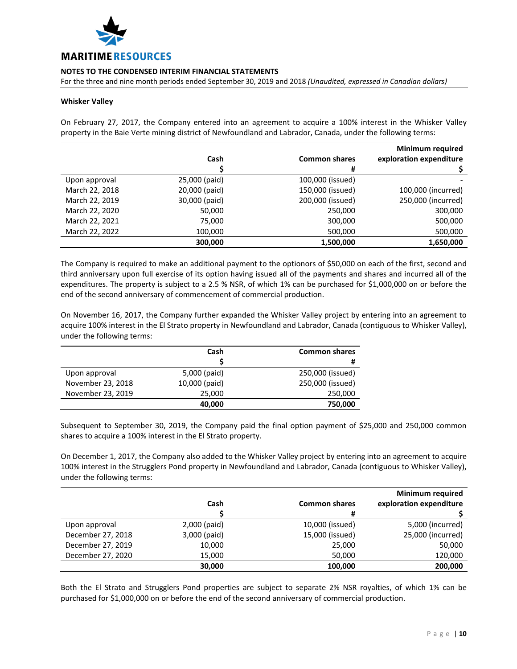

For the three and nine month periods ended September 30, 2019 and 2018 *(Unaudited, expressed in Canadian dollars)*

#### **Whisker Valley**

On February 27, 2017, the Company entered into an agreement to acquire a 100% interest in the Whisker Valley property in the Baie Verte mining district of Newfoundland and Labrador, Canada, under the following terms:

|                |               |                      | <b>Minimum required</b> |
|----------------|---------------|----------------------|-------------------------|
|                | Cash          | <b>Common shares</b> | exploration expenditure |
|                |               | #                    |                         |
| Upon approval  | 25,000 (paid) | 100,000 (issued)     |                         |
| March 22, 2018 | 20,000 (paid) | 150,000 (issued)     | 100,000 (incurred)      |
| March 22, 2019 | 30,000 (paid) | 200,000 (issued)     | 250,000 (incurred)      |
| March 22, 2020 | 50,000        | 250,000              | 300,000                 |
| March 22, 2021 | 75,000        | 300,000              | 500,000                 |
| March 22, 2022 | 100,000       | 500,000              | 500,000                 |
|                | 300,000       | 1,500,000            | 1,650,000               |

The Company is required to make an additional payment to the optionors of \$50,000 on each of the first, second and third anniversary upon full exercise of its option having issued all of the payments and shares and incurred all of the expenditures. The property is subject to a 2.5 % NSR, of which 1% can be purchased for \$1,000,000 on or before the end of the second anniversary of commencement of commercial production.

On November 16, 2017, the Company further expanded the Whisker Valley project by entering into an agreement to acquire 100% interest in the El Strato property in Newfoundland and Labrador, Canada (contiguous to Whisker Valley), under the following terms:

|                   | Cash          | <b>Common shares</b> |
|-------------------|---------------|----------------------|
|                   |               | #                    |
| Upon approval     | 5,000 (paid)  | 250,000 (issued)     |
| November 23, 2018 | 10,000 (paid) | 250,000 (issued)     |
| November 23, 2019 | 25,000        | 250,000              |
|                   | 40,000        | 750,000              |

Subsequent to September 30, 2019, the Company paid the final option payment of \$25,000 and 250,000 common shares to acquire a 100% interest in the El Strato property.

On December 1, 2017, the Company also added to the Whisker Valley project by entering into an agreement to acquire 100% interest in the Strugglers Pond property in Newfoundland and Labrador, Canada (contiguous to Whisker Valley), under the following terms:

|                   |              |                      | <b>Minimum required</b> |
|-------------------|--------------|----------------------|-------------------------|
|                   | Cash         | <b>Common shares</b> | exploration expenditure |
|                   |              | #                    |                         |
| Upon approval     | 2,000 (paid) | 10,000 (issued)      | 5,000 (incurred)        |
| December 27, 2018 | 3,000 (paid) | 15,000 (issued)      | 25,000 (incurred)       |
| December 27, 2019 | 10,000       | 25,000               | 50,000                  |
| December 27, 2020 | 15,000       | 50,000               | 120,000                 |
|                   | 30,000       | 100,000              | 200,000                 |

Both the El Strato and Strugglers Pond properties are subject to separate 2% NSR royalties, of which 1% can be purchased for \$1,000,000 on or before the end of the second anniversary of commercial production.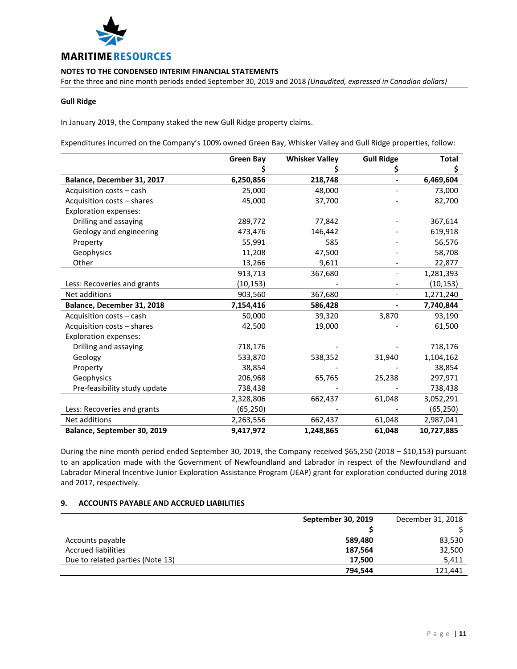

For the three and nine month periods ended September 30, 2019 and 2018 *(Unaudited, expressed in Canadian dollars)*

# **Gull Ridge**

In January 2019, the Company staked the new Gull Ridge property claims.

Expenditures incurred on the Company's 100% owned Green Bay, Whisker Valley and Gull Ridge properties, follow:

|                              | <b>Green Bay</b> | <b>Whisker Valley</b> | <b>Gull Ridge</b> | <b>Total</b> |
|------------------------------|------------------|-----------------------|-------------------|--------------|
|                              |                  |                       | Ş                 | \$           |
| Balance, December 31, 2017   | 6,250,856        | 218,748               |                   | 6,469,604    |
| Acquisition costs - cash     | 25,000           | 48,000                |                   | 73,000       |
| Acquisition costs - shares   | 45,000           | 37,700                |                   | 82,700       |
| <b>Exploration expenses:</b> |                  |                       |                   |              |
| Drilling and assaying        | 289,772          | 77,842                |                   | 367,614      |
| Geology and engineering      | 473,476          | 146,442               |                   | 619,918      |
| Property                     | 55,991           | 585                   |                   | 56,576       |
| Geophysics                   | 11,208           | 47,500                |                   | 58,708       |
| Other                        | 13,266           | 9,611                 |                   | 22,877       |
|                              | 913,713          | 367,680               |                   | 1,281,393    |
| Less: Recoveries and grants  | (10,153)         |                       |                   | (10, 153)    |
| Net additions                | 903,560          | 367,680               |                   | 1,271,240    |
| Balance, December 31, 2018   | 7,154,416        | 586,428               |                   | 7,740,844    |
| Acquisition costs - cash     | 50,000           | 39,320                | 3,870             | 93,190       |
| Acquisition costs - shares   | 42,500           | 19,000                |                   | 61,500       |
| <b>Exploration expenses:</b> |                  |                       |                   |              |
| Drilling and assaying        | 718,176          |                       |                   | 718,176      |
| Geology                      | 533,870          | 538,352               | 31,940            | 1,104,162    |
| Property                     | 38,854           |                       |                   | 38,854       |
| Geophysics                   | 206,968          | 65,765                | 25,238            | 297,971      |
| Pre-feasibility study update | 738,438          |                       |                   | 738,438      |
|                              | 2,328,806        | 662,437               | 61,048            | 3,052,291    |
| Less: Recoveries and grants  | (65, 250)        |                       |                   | (65, 250)    |
| Net additions                | 2,263,556        | 662,437               | 61,048            | 2,987,041    |
| Balance, September 30, 2019  | 9,417,972        | 1,248,865             | 61,048            | 10,727,885   |

During the nine month period ended September 30, 2019, the Company received \$65,250 (2018 – \$10,153) pursuant to an application made with the Government of Newfoundland and Labrador in respect of the Newfoundland and Labrador Mineral Incentive Junior Exploration Assistance Program (JEAP) grant for exploration conducted during 2018 and 2017, respectively.

# **9. ACCOUNTS PAYABLE AND ACCRUED LIABILITIES**

|                                  | September 30, 2019 | December 31, 2018 |
|----------------------------------|--------------------|-------------------|
|                                  |                    |                   |
| Accounts payable                 | 589,480            | 83,530            |
| <b>Accrued liabilities</b>       | 187.564            | 32,500            |
| Due to related parties (Note 13) | 17.500             | 5,411             |
|                                  | 794,544            | 121,441           |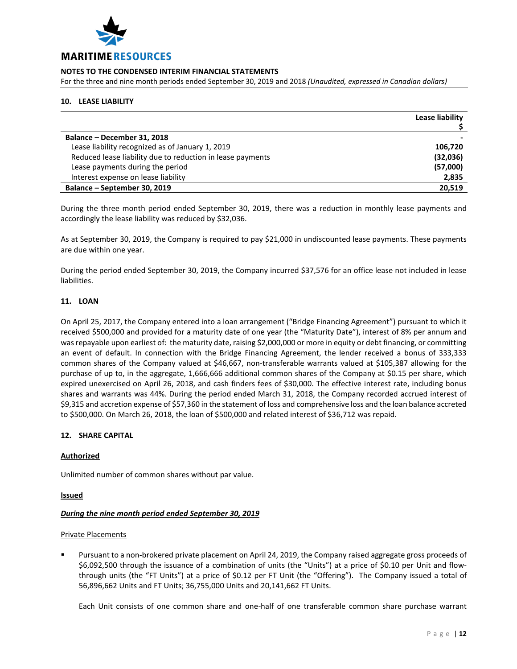

For the three and nine month periods ended September 30, 2019 and 2018 *(Unaudited, expressed in Canadian dollars)*

# **10. LEASE LIABILITY**

|                                                            | Lease liability |
|------------------------------------------------------------|-----------------|
|                                                            |                 |
| Balance - December 31, 2018                                |                 |
| Lease liability recognized as of January 1, 2019           | 106,720         |
| Reduced lease liability due to reduction in lease payments | (32,036)        |
| Lease payments during the period                           | (57,000)        |
| Interest expense on lease liability                        | 2,835           |
| Balance - September 30, 2019                               | 20,519          |

During the three month period ended September 30, 2019, there was a reduction in monthly lease payments and accordingly the lease liability was reduced by \$32,036.

As at September 30, 2019, the Company is required to pay \$21,000 in undiscounted lease payments. These payments are due within one year.

During the period ended September 30, 2019, the Company incurred \$37,576 for an office lease not included in lease liabilities.

# **11. LOAN**

On April 25, 2017, the Company entered into a loan arrangement ("Bridge Financing Agreement") pursuant to which it received \$500,000 and provided for a maturity date of one year (the "Maturity Date"), interest of 8% per annum and was repayable upon earliest of: the maturity date, raising \$2,000,000 or more in equity or debt financing, or committing an event of default. In connection with the Bridge Financing Agreement, the lender received a bonus of 333,333 common shares of the Company valued at \$46,667, non-transferable warrants valued at \$105,387 allowing for the purchase of up to, in the aggregate, 1,666,666 additional common shares of the Company at \$0.15 per share, which expired unexercised on April 26, 2018, and cash finders fees of \$30,000. The effective interest rate, including bonus shares and warrants was 44%. During the period ended March 31, 2018, the Company recorded accrued interest of \$9,315 and accretion expense of \$57,360 in the statement of loss and comprehensive loss and the loan balance accreted to \$500,000. On March 26, 2018, the loan of \$500,000 and related interest of \$36,712 was repaid.

# **12. SHARE CAPITAL**

# **Authorized**

Unlimited number of common shares without par value.

**Issued**

# *During the nine month period ended September 30, 2019*

#### Private Placements

 Pursuant to a non-brokered private placement on April 24, 2019, the Company raised aggregate gross proceeds of \$6,092,500 through the issuance of a combination of units (the "Units") at a price of \$0.10 per Unit and flowthrough units (the "FT Units") at a price of \$0.12 per FT Unit (the "Offering"). The Company issued a total of 56,896,662 Units and FT Units; 36,755,000 Units and 20,141,662 FT Units.

Each Unit consists of one common share and one-half of one transferable common share purchase warrant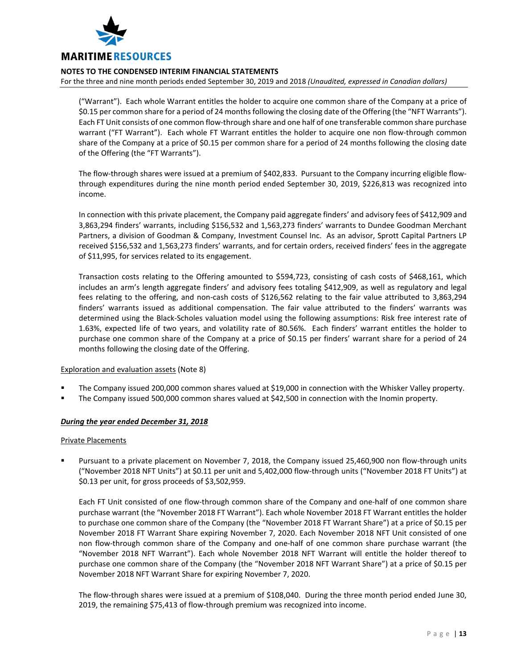

For the three and nine month periods ended September 30, 2019 and 2018 *(Unaudited, expressed in Canadian dollars)*

("Warrant"). Each whole Warrant entitles the holder to acquire one common share of the Company at a price of \$0.15 per common share for a period of 24 months following the closing date of the Offering (the "NFT Warrants"). Each FT Unit consists of one common flow-through share and one half of one transferable common share purchase warrant ("FT Warrant"). Each whole FT Warrant entitles the holder to acquire one non flow-through common share of the Company at a price of \$0.15 per common share for a period of 24 months following the closing date of the Offering (the "FT Warrants").

The flow-through shares were issued at a premium of \$402,833. Pursuant to the Company incurring eligible flowthrough expenditures during the nine month period ended September 30, 2019, \$226,813 was recognized into income.

In connection with this private placement, the Company paid aggregate finders' and advisory fees of \$412,909 and 3,863,294 finders' warrants, including \$156,532 and 1,563,273 finders' warrants to Dundee Goodman Merchant Partners, a division of Goodman & Company, Investment Counsel Inc. As an advisor, Sprott Capital Partners LP received \$156,532 and 1,563,273 finders' warrants, and for certain orders, received finders' fees in the aggregate of \$11,995, for services related to its engagement.

Transaction costs relating to the Offering amounted to \$594,723, consisting of cash costs of \$468,161, which includes an arm's length aggregate finders' and advisory fees totaling \$412,909, as well as regulatory and legal fees relating to the offering, and non-cash costs of \$126,562 relating to the fair value attributed to 3,863,294 finders' warrants issued as additional compensation. The fair value attributed to the finders' warrants was determined using the Black-Scholes valuation model using the following assumptions: Risk free interest rate of 1.63%, expected life of two years, and volatility rate of 80.56%. Each finders' warrant entitles the holder to purchase one common share of the Company at a price of \$0.15 per finders' warrant share for a period of 24 months following the closing date of the Offering.

# Exploration and evaluation assets (Note 8)

- The Company issued 200,000 common shares valued at \$19,000 in connection with the Whisker Valley property.
- The Company issued 500,000 common shares valued at \$42,500 in connection with the Inomin property.

# *During the year ended December 31, 2018*

#### Private Placements

 Pursuant to a private placement on November 7, 2018, the Company issued 25,460,900 non flow-through units ("November 2018 NFT Units") at \$0.11 per unit and 5,402,000 flow-through units ("November 2018 FT Units") at \$0.13 per unit, for gross proceeds of \$3,502,959.

Each FT Unit consisted of one flow-through common share of the Company and one-half of one common share purchase warrant (the "November 2018 FT Warrant"). Each whole November 2018 FT Warrant entitles the holder to purchase one common share of the Company (the "November 2018 FT Warrant Share") at a price of \$0.15 per November 2018 FT Warrant Share expiring November 7, 2020. Each November 2018 NFT Unit consisted of one non flow-through common share of the Company and one-half of one common share purchase warrant (the "November 2018 NFT Warrant"). Each whole November 2018 NFT Warrant will entitle the holder thereof to purchase one common share of the Company (the "November 2018 NFT Warrant Share") at a price of \$0.15 per November 2018 NFT Warrant Share for expiring November 7, 2020.

The flow-through shares were issued at a premium of \$108,040. During the three month period ended June 30, 2019, the remaining \$75,413 of flow-through premium was recognized into income.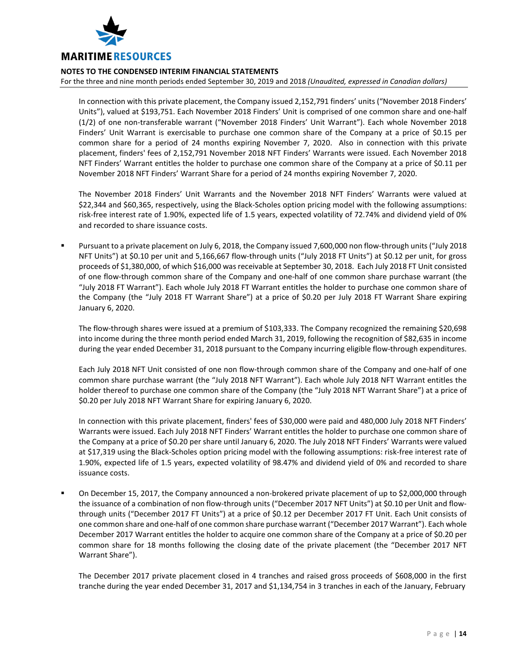

For the three and nine month periods ended September 30, 2019 and 2018 *(Unaudited, expressed in Canadian dollars)*

In connection with this private placement, the Company issued 2,152,791 finders' units ("November 2018 Finders' Units"), valued at \$193,751. Each November 2018 Finders' Unit is comprised of one common share and one-half (1/2) of one non-transferable warrant ("November 2018 Finders' Unit Warrant"). Each whole November 2018 Finders' Unit Warrant is exercisable to purchase one common share of the Company at a price of \$0.15 per common share for a period of 24 months expiring November 7, 2020. Also in connection with this private placement, finders' fees of 2,152,791 November 2018 NFT Finders' Warrants were issued. Each November 2018 NFT Finders' Warrant entitles the holder to purchase one common share of the Company at a price of \$0.11 per November 2018 NFT Finders' Warrant Share for a period of 24 months expiring November 7, 2020.

The November 2018 Finders' Unit Warrants and the November 2018 NFT Finders' Warrants were valued at \$22,344 and \$60,365, respectively, using the Black-Scholes option pricing model with the following assumptions: risk-free interest rate of 1.90%, expected life of 1.5 years, expected volatility of 72.74% and dividend yield of 0% and recorded to share issuance costs.

 Pursuant to a private placement on July 6, 2018, the Company issued 7,600,000 non flow-through units ("July 2018 NFT Units") at \$0.10 per unit and 5,166,667 flow-through units ("July 2018 FT Units") at \$0.12 per unit, for gross proceeds of \$1,380,000, of which \$16,000 was receivable at September 30, 2018. Each July 2018 FT Unit consisted of one flow-through common share of the Company and one-half of one common share purchase warrant (the "July 2018 FT Warrant"). Each whole July 2018 FT Warrant entitles the holder to purchase one common share of the Company (the "July 2018 FT Warrant Share") at a price of \$0.20 per July 2018 FT Warrant Share expiring January 6, 2020.

The flow-through shares were issued at a premium of \$103,333. The Company recognized the remaining \$20,698 into income during the three month period ended March 31, 2019, following the recognition of \$82,635 in income during the year ended December 31, 2018 pursuant to the Company incurring eligible flow-through expenditures.

Each July 2018 NFT Unit consisted of one non flow-through common share of the Company and one-half of one common share purchase warrant (the "July 2018 NFT Warrant"). Each whole July 2018 NFT Warrant entitles the holder thereof to purchase one common share of the Company (the "July 2018 NFT Warrant Share") at a price of \$0.20 per July 2018 NFT Warrant Share for expiring January 6, 2020.

In connection with this private placement, finders' fees of \$30,000 were paid and 480,000 July 2018 NFT Finders' Warrants were issued. Each July 2018 NFT Finders' Warrant entitles the holder to purchase one common share of the Company at a price of \$0.20 per share until January 6, 2020. The July 2018 NFT Finders' Warrants were valued at \$17,319 using the Black-Scholes option pricing model with the following assumptions: risk-free interest rate of 1.90%, expected life of 1.5 years, expected volatility of 98.47% and dividend yield of 0% and recorded to share issuance costs.

 On December 15, 2017, the Company announced a non-brokered private placement of up to \$2,000,000 through the issuance of a combination of non flow-through units ("December 2017 NFT Units") at \$0.10 per Unit and flowthrough units ("December 2017 FT Units") at a price of \$0.12 per December 2017 FT Unit. Each Unit consists of one common share and one-half of one common share purchase warrant ("December 2017 Warrant"). Each whole December 2017 Warrant entitles the holder to acquire one common share of the Company at a price of \$0.20 per common share for 18 months following the closing date of the private placement (the "December 2017 NFT Warrant Share").

The December 2017 private placement closed in 4 tranches and raised gross proceeds of \$608,000 in the first tranche during the year ended December 31, 2017 and \$1,134,754 in 3 tranches in each of the January, February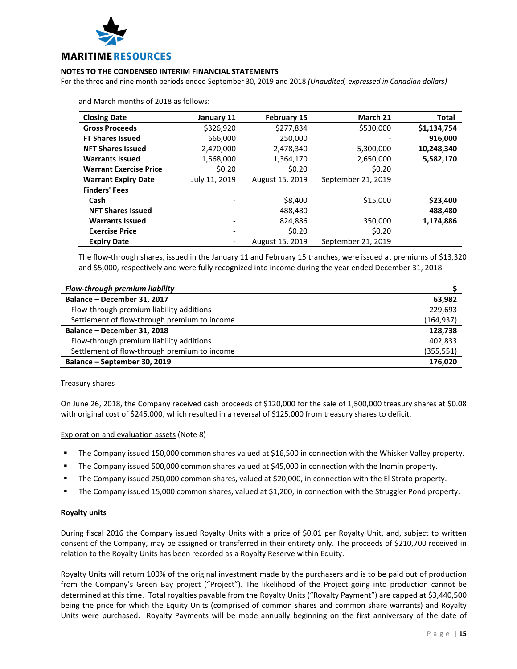

For the three and nine month periods ended September 30, 2019 and 2018 *(Unaudited, expressed in Canadian dollars)*

| <b>Closing Date</b>           | January 11               | <b>February 15</b> | March 21           | <b>Total</b> |
|-------------------------------|--------------------------|--------------------|--------------------|--------------|
| <b>Gross Proceeds</b>         | \$326,920                | \$277,834          | \$530,000          | \$1,134,754  |
| <b>FT Shares Issued</b>       | 666,000                  | 250,000            | -                  | 916,000      |
| <b>NFT Shares Issued</b>      | 2,470,000                | 2,478,340          | 5,300,000          | 10,248,340   |
| <b>Warrants Issued</b>        | 1,568,000                | 1,364,170          | 2,650,000          | 5,582,170    |
| <b>Warrant Exercise Price</b> | \$0.20                   | \$0.20             | \$0.20             |              |
| <b>Warrant Expiry Date</b>    | July 11, 2019            | August 15, 2019    | September 21, 2019 |              |
| <b>Finders' Fees</b>          |                          |                    |                    |              |
| Cash                          |                          | \$8,400            | \$15,000           | \$23,400     |
| <b>NFT Shares Issued</b>      | $\overline{\phantom{a}}$ | 488,480            |                    | 488,480      |
| <b>Warrants Issued</b>        |                          | 824.886            | 350,000            | 1,174,886    |
| <b>Exercise Price</b>         | $\overline{\phantom{a}}$ | \$0.20             | \$0.20             |              |
| <b>Expiry Date</b>            |                          | August 15, 2019    | September 21, 2019 |              |

and March months of 2018 as follows:

The flow-through shares, issued in the January 11 and February 15 tranches, were issued at premiums of \$13,320 and \$5,000, respectively and were fully recognized into income during the year ended December 31, 2018.

| Flow-through premium liability               |            |
|----------------------------------------------|------------|
| Balance - December 31, 2017                  | 63.982     |
| Flow-through premium liability additions     | 229,693    |
| Settlement of flow-through premium to income | (164, 937) |
| Balance - December 31, 2018                  | 128,738    |
| Flow-through premium liability additions     | 402,833    |
| Settlement of flow-through premium to income | (355, 551) |
| Balance - September 30, 2019                 | 176,020    |

#### Treasury shares

On June 26, 2018, the Company received cash proceeds of \$120,000 for the sale of 1,500,000 treasury shares at \$0.08 with original cost of \$245,000, which resulted in a reversal of \$125,000 from treasury shares to deficit.

Exploration and evaluation assets (Note 8)

- The Company issued 150,000 common shares valued at \$16,500 in connection with the Whisker Valley property.
- The Company issued 500,000 common shares valued at \$45,000 in connection with the Inomin property.
- The Company issued 250,000 common shares, valued at \$20,000, in connection with the El Strato property.
- The Company issued 15,000 common shares, valued at \$1,200, in connection with the Struggler Pond property.

#### **Royalty units**

During fiscal 2016 the Company issued Royalty Units with a price of \$0.01 per Royalty Unit, and, subject to written consent of the Company, may be assigned or transferred in their entirety only. The proceeds of \$210,700 received in relation to the Royalty Units has been recorded as a Royalty Reserve within Equity.

Royalty Units will return 100% of the original investment made by the purchasers and is to be paid out of production from the Company's Green Bay project ("Project"). The likelihood of the Project going into production cannot be determined at this time. Total royalties payable from the Royalty Units ("Royalty Payment") are capped at \$3,440,500 being the price for which the Equity Units (comprised of common shares and common share warrants) and Royalty Units were purchased. Royalty Payments will be made annually beginning on the first anniversary of the date of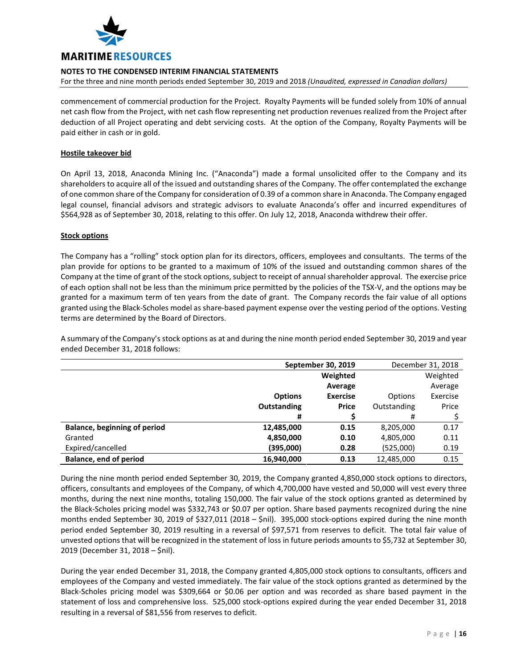

For the three and nine month periods ended September 30, 2019 and 2018 *(Unaudited, expressed in Canadian dollars)*

commencement of commercial production for the Project. Royalty Payments will be funded solely from 10% of annual net cash flow from the Project, with net cash flow representing net production revenues realized from the Project after deduction of all Project operating and debt servicing costs. At the option of the Company, Royalty Payments will be paid either in cash or in gold.

# **Hostile takeover bid**

On April 13, 2018, Anaconda Mining Inc. ("Anaconda") made a formal unsolicited offer to the Company and its shareholders to acquire all of the issued and outstanding shares of the Company. The offer contemplated the exchange of one common share of the Company for consideration of 0.39 of a common share in Anaconda. The Company engaged legal counsel, financial advisors and strategic advisors to evaluate Anaconda's offer and incurred expenditures of \$564,928 as of September 30, 2018, relating to this offer. On July 12, 2018, Anaconda withdrew their offer.

# **Stock options**

The Company has a "rolling" stock option plan for its directors, officers, employees and consultants. The terms of the plan provide for options to be granted to a maximum of 10% of the issued and outstanding common shares of the Company at the time of grant of the stock options, subject to receipt of annual shareholder approval. The exercise price of each option shall not be less than the minimum price permitted by the policies of the TSX-V, and the options may be granted for a maximum term of ten years from the date of grant. The Company records the fair value of all options granted using the Black-Scholes model as share-based payment expense over the vesting period of the options. Vesting terms are determined by the Board of Directors.

A summary of the Company's stock options as at and during the nine month period ended September 30, 2019 and year ended December 31, 2018 follows:

|                                     | September 30, 2019 |                 | December 31, 2018 |          |
|-------------------------------------|--------------------|-----------------|-------------------|----------|
|                                     | Weighted           |                 |                   | Weighted |
|                                     |                    | Average         |                   | Average  |
|                                     | <b>Options</b>     | <b>Exercise</b> | Options           | Exercise |
|                                     | <b>Outstanding</b> | <b>Price</b>    | Outstanding       | Price    |
|                                     | #                  |                 | #                 |          |
| <b>Balance, beginning of period</b> | 12,485,000         | 0.15            | 8,205,000         | 0.17     |
| Granted                             | 4,850,000          | 0.10            | 4,805,000         | 0.11     |
| Expired/cancelled                   | (395,000)          | 0.28            | (525,000)         | 0.19     |
| <b>Balance, end of period</b>       | 16,940,000         | 0.13            | 12,485,000        | 0.15     |

During the nine month period ended September 30, 2019, the Company granted 4,850,000 stock options to directors, officers, consultants and employees of the Company, of which 4,700,000 have vested and 50,000 will vest every three months, during the next nine months, totaling 150,000. The fair value of the stock options granted as determined by the Black-Scholes pricing model was \$332,743 or \$0.07 per option. Share based payments recognized during the nine months ended September 30, 2019 of \$327,011 (2018 – \$nil). 395,000 stock-options expired during the nine month period ended September 30, 2019 resulting in a reversal of \$97,571 from reserves to deficit. The total fair value of unvested options that will be recognized in the statement of loss in future periods amounts to \$5,732 at September 30, 2019 (December 31, 2018 – \$nil).

During the year ended December 31, 2018, the Company granted 4,805,000 stock options to consultants, officers and employees of the Company and vested immediately. The fair value of the stock options granted as determined by the Black-Scholes pricing model was \$309,664 or \$0.06 per option and was recorded as share based payment in the statement of loss and comprehensive loss. 525,000 stock-options expired during the year ended December 31, 2018 resulting in a reversal of \$81,556 from reserves to deficit.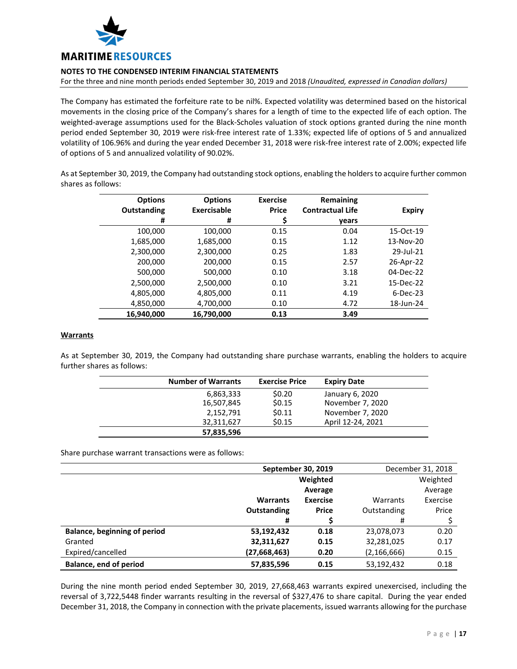

For the three and nine month periods ended September 30, 2019 and 2018 *(Unaudited, expressed in Canadian dollars)*

The Company has estimated the forfeiture rate to be nil%. Expected volatility was determined based on the historical movements in the closing price of the Company's shares for a length of time to the expected life of each option. The weighted-average assumptions used for the Black-Scholes valuation of stock options granted during the nine month period ended September 30, 2019 were risk-free interest rate of 1.33%; expected life of options of 5 and annualized volatility of 106.96% and during the year ended December 31, 2018 were risk-free interest rate of 2.00%; expected life of options of 5 and annualized volatility of 90.02%.

As at September 30, 2019, the Company had outstanding stock options, enabling the holders to acquire further common shares as follows:

| <b>Options</b> | <b>Options</b> | <b>Exercise</b> | Remaining               |               |
|----------------|----------------|-----------------|-------------------------|---------------|
| Outstanding    | Exercisable    | <b>Price</b>    | <b>Contractual Life</b> | <b>Expiry</b> |
| #              | #              | \$              | vears                   |               |
| 100,000        | 100,000        | 0.15            | 0.04                    | 15-Oct-19     |
| 1,685,000      | 1,685,000      | 0.15            | 1.12                    | 13-Nov-20     |
| 2,300,000      | 2,300,000      | 0.25            | 1.83                    | 29-Jul-21     |
| 200,000        | 200,000        | 0.15            | 2.57                    | 26-Apr-22     |
| 500,000        | 500,000        | 0.10            | 3.18                    | 04-Dec-22     |
| 2,500,000      | 2,500,000      | 0.10            | 3.21                    | 15-Dec-22     |
| 4,805,000      | 4,805,000      | 0.11            | 4.19                    | $6-Dec-23$    |
| 4,850,000      | 4,700,000      | 0.10            | 4.72                    | 18-Jun-24     |
| 16,940,000     | 16.790.000     | 0.13            | 3.49                    |               |

## **Warrants**

As at September 30, 2019, the Company had outstanding share purchase warrants, enabling the holders to acquire further shares as follows:

| <b>Number of Warrants</b> | <b>Exercise Price</b> | <b>Expiry Date</b> |
|---------------------------|-----------------------|--------------------|
| 6,863,333                 | \$0.20                | January 6, 2020    |
| 16,507,845                | \$0.15                | November 7, 2020   |
| 2,152,791                 | \$0.11                | November 7, 2020   |
| 32,311,627                | \$0.15                | April 12-24, 2021  |
| 57,835,596                |                       |                    |

Share purchase warrant transactions were as follows:

|                                     | September 30, 2019 |                 | December 31, 2018 |          |
|-------------------------------------|--------------------|-----------------|-------------------|----------|
|                                     |                    | Weighted        |                   | Weighted |
|                                     |                    | Average         |                   | Average  |
|                                     | <b>Warrants</b>    | <b>Exercise</b> | Warrants          | Exercise |
|                                     | <b>Outstanding</b> | <b>Price</b>    | Outstanding       | Price    |
|                                     | #                  |                 | #                 |          |
| <b>Balance, beginning of period</b> | 53,192,432         | 0.18            | 23,078,073        | 0.20     |
| Granted                             | 32,311,627         | 0.15            | 32,281,025        | 0.17     |
| Expired/cancelled                   | (27, 668, 463)     | 0.20            | (2, 166, 666)     | 0.15     |
| <b>Balance, end of period</b>       | 57,835,596         | 0.15            | 53,192,432        | 0.18     |

During the nine month period ended September 30, 2019, 27,668,463 warrants expired unexercised, including the reversal of 3,722,5448 finder warrants resulting in the reversal of \$327,476 to share capital. During the year ended December 31, 2018, the Company in connection with the private placements, issued warrants allowing for the purchase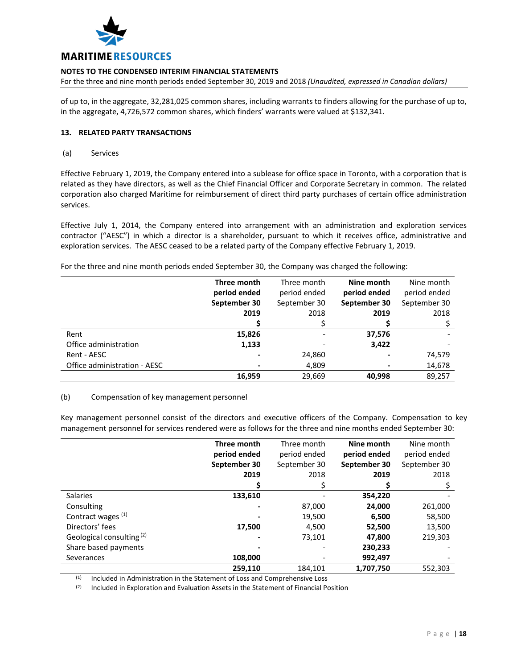

For the three and nine month periods ended September 30, 2019 and 2018 *(Unaudited, expressed in Canadian dollars)*

of up to, in the aggregate, 32,281,025 common shares, including warrants to finders allowing for the purchase of up to, in the aggregate, 4,726,572 common shares, which finders' warrants were valued at \$132,341.

# **13. RELATED PARTY TRANSACTIONS**

(a) Services

Effective February 1, 2019, the Company entered into a sublease for office space in Toronto, with a corporation that is related as they have directors, as well as the Chief Financial Officer and Corporate Secretary in common. The related corporation also charged Maritime for reimbursement of direct third party purchases of certain office administration services.

Effective July 1, 2014, the Company entered into arrangement with an administration and exploration services contractor ("AESC") in which a director is a shareholder, pursuant to which it receives office, administrative and exploration services. The AESC ceased to be a related party of the Company effective February 1, 2019.

For the three and nine month periods ended September 30, the Company was charged the following:

|                              | Three month  | Three month  | Nine month   | Nine month   |
|------------------------------|--------------|--------------|--------------|--------------|
|                              | period ended | period ended | period ended | period ended |
|                              | September 30 | September 30 | September 30 | September 30 |
|                              | 2019         | 2018         | 2019         | 2018         |
|                              |              |              |              |              |
| Rent                         | 15,826       |              | 37,576       |              |
| Office administration        | 1,133        |              | 3,422        |              |
| Rent - AESC                  |              | 24,860       |              | 74,579       |
| Office administration - AESC |              | 4,809        |              | 14,678       |
|                              | 16,959       | 29,669       | 40.998       | 89,257       |

# (b) Compensation of key management personnel

Key management personnel consist of the directors and executive officers of the Company. Compensation to key management personnel for services rendered were as follows for the three and nine months ended September 30:

|                                      | Three month  | Three month  | Nine month   | Nine month   |
|--------------------------------------|--------------|--------------|--------------|--------------|
|                                      | period ended | period ended | period ended | period ended |
|                                      | September 30 | September 30 | September 30 | September 30 |
|                                      | 2019         | 2018         | 2019         | 2018         |
|                                      |              |              |              |              |
| <b>Salaries</b>                      | 133,610      |              | 354,220      |              |
| Consulting                           |              | 87,000       | 24,000       | 261,000      |
| Contract wages <sup>(1)</sup>        |              | 19,500       | 6,500        | 58,500       |
| Directors' fees                      | 17,500       | 4,500        | 52,500       | 13,500       |
| Geological consulting <sup>(2)</sup> |              | 73,101       | 47,800       | 219,303      |
| Share based payments                 |              |              | 230,233      |              |
| Severances                           | 108,000      |              | 992,497      |              |
|                                      | 259,110      | 184.101      | 1,707,750    | 552.303      |

 $(1)$  Included in Administration in the Statement of Loss and Comprehensive Loss

 $(2)$  Included in Exploration and Evaluation Assets in the Statement of Financial Position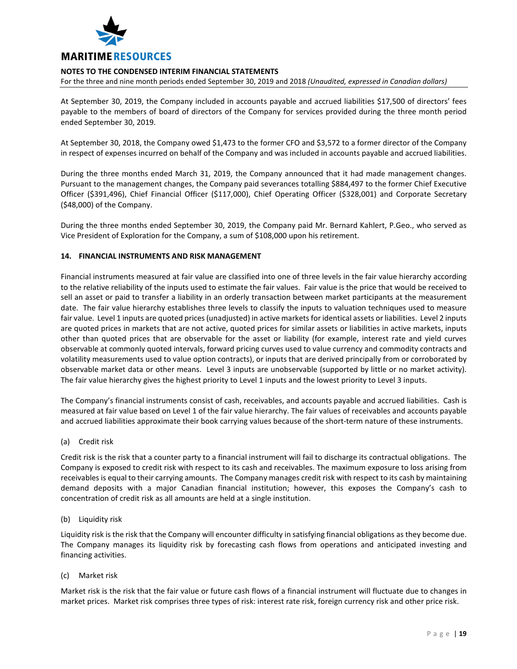

For the three and nine month periods ended September 30, 2019 and 2018 *(Unaudited, expressed in Canadian dollars)*

At September 30, 2019, the Company included in accounts payable and accrued liabilities \$17,500 of directors' fees payable to the members of board of directors of the Company for services provided during the three month period ended September 30, 2019.

At September 30, 2018, the Company owed \$1,473 to the former CFO and \$3,572 to a former director of the Company in respect of expenses incurred on behalf of the Company and was included in accounts payable and accrued liabilities.

During the three months ended March 31, 2019, the Company announced that it had made management changes. Pursuant to the management changes, the Company paid severances totalling \$884,497 to the former Chief Executive Officer (\$391,496), Chief Financial Officer (\$117,000), Chief Operating Officer (\$328,001) and Corporate Secretary (\$48,000) of the Company.

During the three months ended September 30, 2019, the Company paid Mr. Bernard Kahlert, P.Geo., who served as Vice President of Exploration for the Company, a sum of \$108,000 upon his retirement.

#### **14. FINANCIAL INSTRUMENTS AND RISK MANAGEMENT**

Financial instruments measured at fair value are classified into one of three levels in the fair value hierarchy according to the relative reliability of the inputs used to estimate the fair values. Fair value is the price that would be received to sell an asset or paid to transfer a liability in an orderly transaction between market participants at the measurement date. The fair value hierarchy establishes three levels to classify the inputs to valuation techniques used to measure fair value. Level 1 inputs are quoted prices (unadjusted) in active markets for identical assets or liabilities. Level 2 inputs are quoted prices in markets that are not active, quoted prices for similar assets or liabilities in active markets, inputs other than quoted prices that are observable for the asset or liability (for example, interest rate and yield curves observable at commonly quoted intervals, forward pricing curves used to value currency and commodity contracts and volatility measurements used to value option contracts), or inputs that are derived principally from or corroborated by observable market data or other means. Level 3 inputs are unobservable (supported by little or no market activity). The fair value hierarchy gives the highest priority to Level 1 inputs and the lowest priority to Level 3 inputs.

The Company's financial instruments consist of cash, receivables, and accounts payable and accrued liabilities. Cash is measured at fair value based on Level 1 of the fair value hierarchy. The fair values of receivables and accounts payable and accrued liabilities approximate their book carrying values because of the short-term nature of these instruments.

(a) Credit risk

Credit risk is the risk that a counter party to a financial instrument will fail to discharge its contractual obligations. The Company is exposed to credit risk with respect to its cash and receivables. The maximum exposure to loss arising from receivables is equal to their carrying amounts. The Company manages credit risk with respect to its cash by maintaining demand deposits with a major Canadian financial institution; however, this exposes the Company's cash to concentration of credit risk as all amounts are held at a single institution.

(b) Liquidity risk

Liquidity risk is the risk that the Company will encounter difficulty in satisfying financial obligations as they become due. The Company manages its liquidity risk by forecasting cash flows from operations and anticipated investing and financing activities.

(c) Market risk

Market risk is the risk that the fair value or future cash flows of a financial instrument will fluctuate due to changes in market prices. Market risk comprises three types of risk: interest rate risk, foreign currency risk and other price risk.